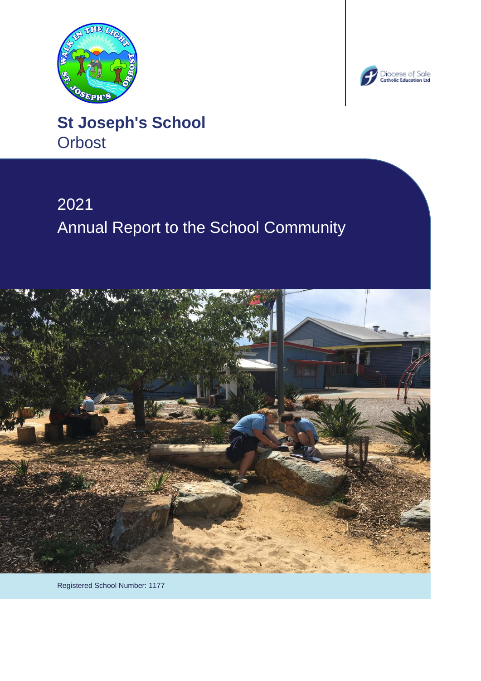



# **St Joseph's School Orbost**

# 2021 Annual Report to the School Community



Registered School Number: 1177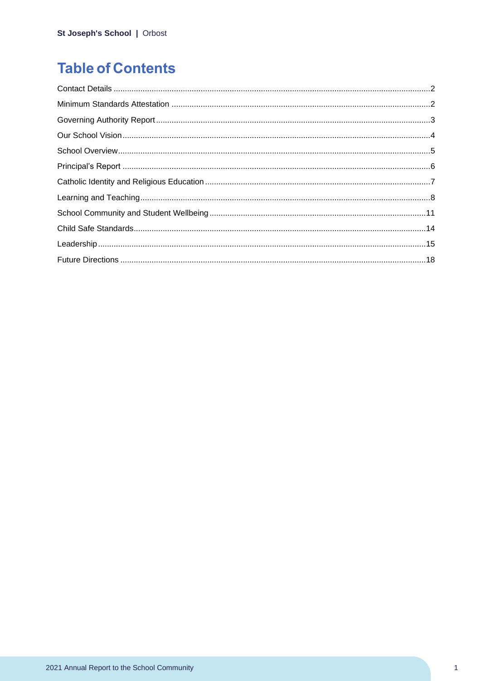# **Table of Contents**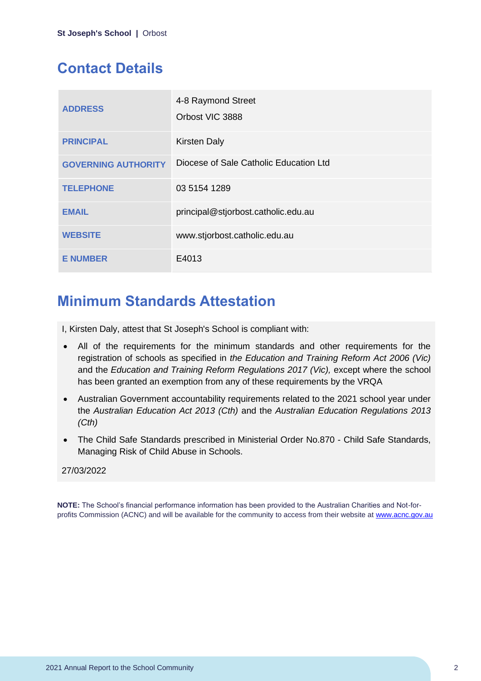# <span id="page-2-0"></span>**Contact Details**

| <b>ADDRESS</b>             | 4-8 Raymond Street<br>Orbost VIC 3888  |
|----------------------------|----------------------------------------|
| <b>PRINCIPAL</b>           | <b>Kirsten Daly</b>                    |
| <b>GOVERNING AUTHORITY</b> | Diocese of Sale Catholic Education Ltd |
| <b>TELEPHONE</b>           | 03 5154 1289                           |
| <b>EMAIL</b>               | principal@stjorbost.catholic.edu.au    |
| <b>WEBSITE</b>             | www.stjorbost.catholic.edu.au          |
| <b>E NUMBER</b>            | E4013                                  |

# <span id="page-2-1"></span>**Minimum Standards Attestation**

I, Kirsten Daly, attest that St Joseph's School is compliant with:

- All of the requirements for the minimum standards and other requirements for the registration of schools as specified in *the Education and Training Reform Act 2006 (Vic)* and the *Education and Training Reform Regulations 2017 (Vic),* except where the school has been granted an exemption from any of these requirements by the VRQA
- Australian Government accountability requirements related to the 2021 school year under the *Australian Education Act 2013 (Cth)* and the *Australian Education Regulations 2013 (Cth)*
- The Child Safe Standards prescribed in Ministerial Order No.870 Child Safe Standards, Managing Risk of Child Abuse in Schools.

### 27/03/2022

**NOTE:** The School's financial performance information has been provided to the Australian Charities and Not-forprofits Commission (ACNC) and will be available for the community to access from their website at [www.acnc.gov.au](http://www.acnc.gov.au/)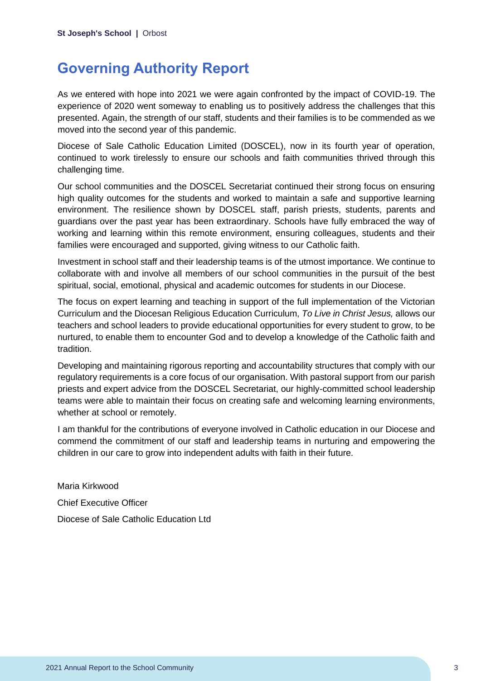# <span id="page-3-0"></span>**Governing Authority Report**

As we entered with hope into 2021 we were again confronted by the impact of COVID-19. The experience of 2020 went someway to enabling us to positively address the challenges that this presented. Again, the strength of our staff, students and their families is to be commended as we moved into the second year of this pandemic.

Diocese of Sale Catholic Education Limited (DOSCEL), now in its fourth year of operation, continued to work tirelessly to ensure our schools and faith communities thrived through this challenging time.

Our school communities and the DOSCEL Secretariat continued their strong focus on ensuring high quality outcomes for the students and worked to maintain a safe and supportive learning environment. The resilience shown by DOSCEL staff, parish priests, students, parents and guardians over the past year has been extraordinary. Schools have fully embraced the way of working and learning within this remote environment, ensuring colleagues, students and their families were encouraged and supported, giving witness to our Catholic faith.

Investment in school staff and their leadership teams is of the utmost importance. We continue to collaborate with and involve all members of our school communities in the pursuit of the best spiritual, social, emotional, physical and academic outcomes for students in our Diocese.

The focus on expert learning and teaching in support of the full implementation of the Victorian Curriculum and the Diocesan Religious Education Curriculum, *To Live in Christ Jesus,* allows our teachers and school leaders to provide educational opportunities for every student to grow, to be nurtured, to enable them to encounter God and to develop a knowledge of the Catholic faith and tradition.

Developing and maintaining rigorous reporting and accountability structures that comply with our regulatory requirements is a core focus of our organisation. With pastoral support from our parish priests and expert advice from the DOSCEL Secretariat, our highly-committed school leadership teams were able to maintain their focus on creating safe and welcoming learning environments, whether at school or remotely.

I am thankful for the contributions of everyone involved in Catholic education in our Diocese and commend the commitment of our staff and leadership teams in nurturing and empowering the children in our care to grow into independent adults with faith in their future.

Maria Kirkwood Chief Executive Officer Diocese of Sale Catholic Education Ltd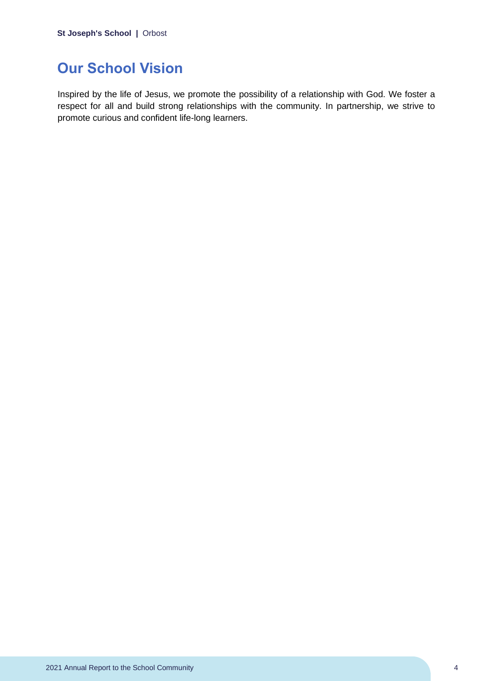# <span id="page-4-0"></span>**Our School Vision**

Inspired by the life of Jesus, we promote the possibility of a relationship with God. We foster a respect for all and build strong relationships with the community. In partnership, we strive to promote curious and confident life-long learners.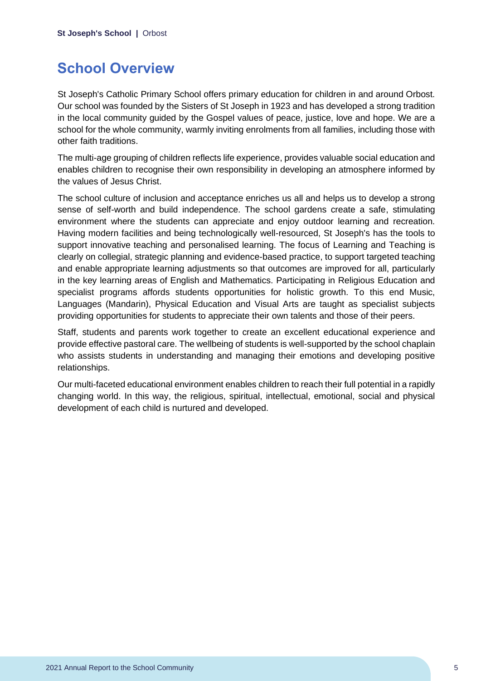# <span id="page-5-0"></span>**School Overview**

St Joseph's Catholic Primary School offers primary education for children in and around Orbost. Our school was founded by the Sisters of St Joseph in 1923 and has developed a strong tradition in the local community guided by the Gospel values of peace, justice, love and hope. We are a school for the whole community, warmly inviting enrolments from all families, including those with other faith traditions.

The multi-age grouping of children reflects life experience, provides valuable social education and enables children to recognise their own responsibility in developing an atmosphere informed by the values of Jesus Christ.

The school culture of inclusion and acceptance enriches us all and helps us to develop a strong sense of self-worth and build independence. The school gardens create a safe, stimulating environment where the students can appreciate and enjoy outdoor learning and recreation. Having modern facilities and being technologically well-resourced, St Joseph's has the tools to support innovative teaching and personalised learning. The focus of Learning and Teaching is clearly on collegial, strategic planning and evidence-based practice, to support targeted teaching and enable appropriate learning adjustments so that outcomes are improved for all, particularly in the key learning areas of English and Mathematics. Participating in Religious Education and specialist programs affords students opportunities for holistic growth. To this end Music, Languages (Mandarin), Physical Education and Visual Arts are taught as specialist subjects providing opportunities for students to appreciate their own talents and those of their peers.

Staff, students and parents work together to create an excellent educational experience and provide effective pastoral care. The wellbeing of students is well-supported by the school chaplain who assists students in understanding and managing their emotions and developing positive relationships.

Our multi-faceted educational environment enables children to reach their full potential in a rapidly changing world. In this way, the religious, spiritual, intellectual, emotional, social and physical development of each child is nurtured and developed.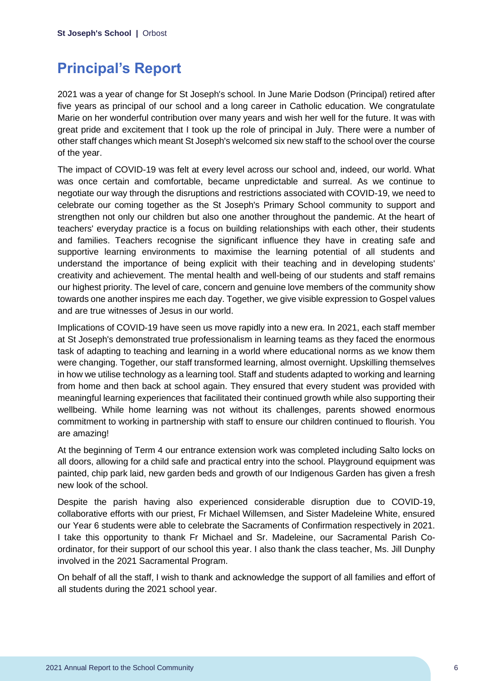# <span id="page-6-0"></span>**Principal's Report**

2021 was a year of change for St Joseph's school. In June Marie Dodson (Principal) retired after five years as principal of our school and a long career in Catholic education. We congratulate Marie on her wonderful contribution over many years and wish her well for the future. It was with great pride and excitement that I took up the role of principal in July. There were a number of other staff changes which meant St Joseph's welcomed six new staff to the school over the course of the year.

The impact of COVID-19 was felt at every level across our school and, indeed, our world. What was once certain and comfortable, became unpredictable and surreal. As we continue to negotiate our way through the disruptions and restrictions associated with COVID-19, we need to celebrate our coming together as the St Joseph's Primary School community to support and strengthen not only our children but also one another throughout the pandemic. At the heart of teachers' everyday practice is a focus on building relationships with each other, their students and families. Teachers recognise the significant influence they have in creating safe and supportive learning environments to maximise the learning potential of all students and understand the importance of being explicit with their teaching and in developing students' creativity and achievement. The mental health and well-being of our students and staff remains our highest priority. The level of care, concern and genuine love members of the community show towards one another inspires me each day. Together, we give visible expression to Gospel values and are true witnesses of Jesus in our world.

Implications of COVID-19 have seen us move rapidly into a new era. In 2021, each staff member at St Joseph's demonstrated true professionalism in learning teams as they faced the enormous task of adapting to teaching and learning in a world where educational norms as we know them were changing. Together, our staff transformed learning, almost overnight. Upskilling themselves in how we utilise technology as a learning tool. Staff and students adapted to working and learning from home and then back at school again. They ensured that every student was provided with meaningful learning experiences that facilitated their continued growth while also supporting their wellbeing. While home learning was not without its challenges, parents showed enormous commitment to working in partnership with staff to ensure our children continued to flourish. You are amazing!

At the beginning of Term 4 our entrance extension work was completed including Salto locks on all doors, allowing for a child safe and practical entry into the school. Playground equipment was painted, chip park laid, new garden beds and growth of our Indigenous Garden has given a fresh new look of the school.

Despite the parish having also experienced considerable disruption due to COVID-19, collaborative efforts with our priest, Fr Michael Willemsen, and Sister Madeleine White, ensured our Year 6 students were able to celebrate the Sacraments of Confirmation respectively in 2021. I take this opportunity to thank Fr Michael and Sr. Madeleine, our Sacramental Parish Coordinator, for their support of our school this year. I also thank the class teacher, Ms. Jill Dunphy involved in the 2021 Sacramental Program.

On behalf of all the staff, I wish to thank and acknowledge the support of all families and effort of all students during the 2021 school year.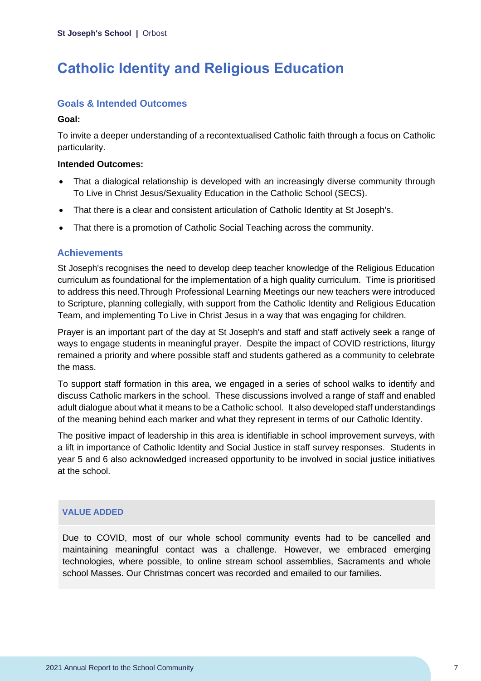# <span id="page-7-0"></span>**Catholic Identity and Religious Education**

# **Goals & Intended Outcomes**

### **Goal:**

To invite a deeper understanding of a recontextualised Catholic faith through a focus on Catholic particularity.

### **Intended Outcomes:**

- That a dialogical relationship is developed with an increasingly diverse community through To Live in Christ Jesus/Sexuality Education in the Catholic School (SECS).
- That there is a clear and consistent articulation of Catholic Identity at St Joseph's.
- That there is a promotion of Catholic Social Teaching across the community.

## **Achievements**

St Joseph's recognises the need to develop deep teacher knowledge of the Religious Education curriculum as foundational for the implementation of a high quality curriculum. Time is prioritised to address this need.Through Professional Learning Meetings our new teachers were introduced to Scripture, planning collegially, with support from the Catholic Identity and Religious Education Team, and implementing To Live in Christ Jesus in a way that was engaging for children.

Prayer is an important part of the day at St Joseph's and staff and staff actively seek a range of ways to engage students in meaningful prayer. Despite the impact of COVID restrictions, liturgy remained a priority and where possible staff and students gathered as a community to celebrate the mass.

To support staff formation in this area, we engaged in a series of school walks to identify and discuss Catholic markers in the school. These discussions involved a range of staff and enabled adult dialogue about what it means to be a Catholic school. It also developed staff understandings of the meaning behind each marker and what they represent in terms of our Catholic Identity.

The positive impact of leadership in this area is identifiable in school improvement surveys, with a lift in importance of Catholic Identity and Social Justice in staff survey responses. Students in year 5 and 6 also acknowledged increased opportunity to be involved in social justice initiatives at the school.

### **VALUE ADDED**

Due to COVID, most of our whole school community events had to be cancelled and maintaining meaningful contact was a challenge. However, we embraced emerging technologies, where possible, to online stream school assemblies, Sacraments and whole school Masses. Our Christmas concert was recorded and emailed to our families.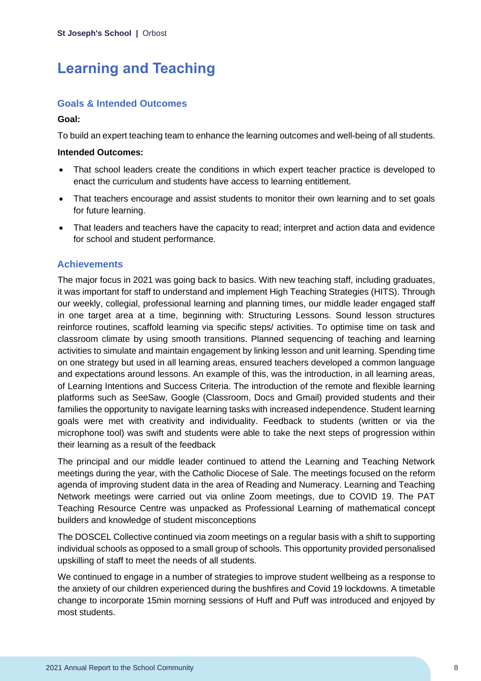# <span id="page-8-0"></span>**Learning and Teaching**

## **Goals & Intended Outcomes**

### **Goal:**

To build an expert teaching team to enhance the learning outcomes and well-being of all students.

#### **Intended Outcomes:**

- That school leaders create the conditions in which expert teacher practice is developed to enact the curriculum and students have access to learning entitlement.
- That teachers encourage and assist students to monitor their own learning and to set goals for future learning.
- That leaders and teachers have the capacity to read; interpret and action data and evidence for school and student performance.

## **Achievements**

The major focus in 2021 was going back to basics. With new teaching staff, including graduates, it was important for staff to understand and implement High Teaching Strategies (HITS). Through our weekly, collegial, professional learning and planning times, our middle leader engaged staff in one target area at a time, beginning with: Structuring Lessons. Sound lesson structures reinforce routines, scaffold learning via specific steps/ activities. To optimise time on task and classroom climate by using smooth transitions. Planned sequencing of teaching and learning activities to simulate and maintain engagement by linking lesson and unit learning. Spending time on one strategy but used in all learning areas, ensured teachers developed a common language and expectations around lessons. An example of this, was the introduction, in all learning areas, of Learning Intentions and Success Criteria. The introduction of the remote and flexible learning platforms such as SeeSaw, Google (Classroom, Docs and Gmail) provided students and their families the opportunity to navigate learning tasks with increased independence. Student learning goals were met with creativity and individuality. Feedback to students (written or via the microphone tool) was swift and students were able to take the next steps of progression within their learning as a result of the feedback

The principal and our middle leader continued to attend the Learning and Teaching Network meetings during the year, with the Catholic Diocese of Sale. The meetings focused on the reform agenda of improving student data in the area of Reading and Numeracy. Learning and Teaching Network meetings were carried out via online Zoom meetings, due to COVID 19. The PAT Teaching Resource Centre was unpacked as Professional Learning of mathematical concept builders and knowledge of student misconceptions

The DOSCEL Collective continued via zoom meetings on a regular basis with a shift to supporting individual schools as opposed to a small group of schools. This opportunity provided personalised upskilling of staff to meet the needs of all students.

We continued to engage in a number of strategies to improve student wellbeing as a response to the anxiety of our children experienced during the bushfires and Covid 19 lockdowns. A timetable change to incorporate 15min morning sessions of Huff and Puff was introduced and enjoyed by most students.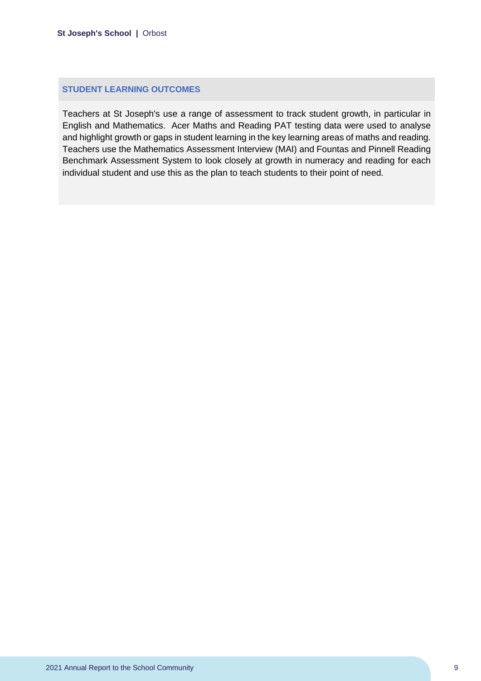### **STUDENT LEARNING OUTCOMES**

Teachers at St Joseph's use a range of assessment to track student growth, in particular in English and Mathematics. Acer Maths and Reading PAT testing data were used to analyse and highlight growth or gaps in student learning in the key learning areas of maths and reading. Teachers use the Mathematics Assessment Interview (MAI) and Fountas and Pinnell Reading Benchmark Assessment System to look closely at growth in numeracy and reading for each individual student and use this as the plan to teach students to their point of need.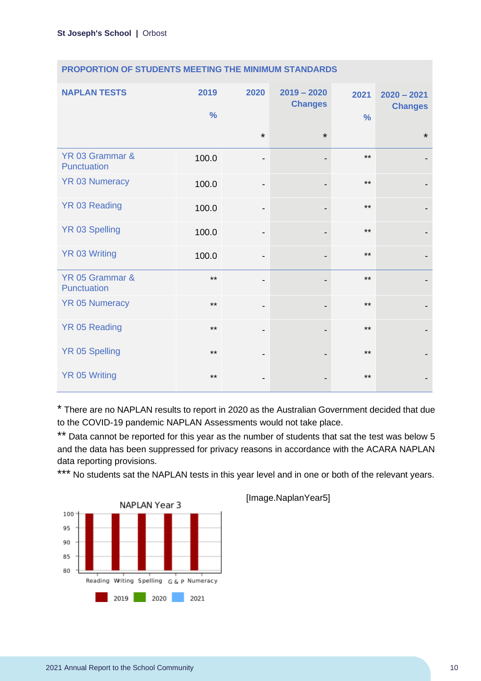| <b>NAPLAN TESTS</b>            | 2019<br>$\frac{0}{0}$ | 2020                         | $2019 - 2020$<br><b>Changes</b> | 2021<br>$\frac{0}{0}$ | $2020 - 2021$<br><b>Changes</b> |
|--------------------------------|-----------------------|------------------------------|---------------------------------|-----------------------|---------------------------------|
|                                |                       | $\star$                      | $\star$                         |                       | $\star$                         |
| YR 03 Grammar &<br>Punctuation | 100.0                 | $\overline{\phantom{a}}$     |                                 | $***$                 |                                 |
| <b>YR 03 Numeracy</b>          | 100.0                 | -                            |                                 | $***$                 |                                 |
| <b>YR 03 Reading</b>           | 100.0                 | -                            |                                 | $***$                 |                                 |
| <b>YR 03 Spelling</b>          | 100.0                 | $\overline{\phantom{a}}$     |                                 | $***$                 |                                 |
| <b>YR 03 Writing</b>           | 100.0                 | $\qquad \qquad \blacksquare$ |                                 | $***$                 |                                 |
| YR 05 Grammar &<br>Punctuation | $***$                 |                              |                                 | $***$                 |                                 |
| <b>YR 05 Numeracy</b>          | $***$                 | $\qquad \qquad \blacksquare$ |                                 | $***$                 |                                 |
| <b>YR 05 Reading</b>           | $***$                 | $\overline{\phantom{a}}$     |                                 | $***$                 |                                 |
| YR 05 Spelling                 | $***$                 | -                            |                                 | $***$                 |                                 |
| <b>YR 05 Writing</b>           | $***$                 | -                            |                                 | $***$                 |                                 |

#### **PROPORTION OF STUDENTS MEETING THE MINIMUM STANDARDS**

\* There are no NAPLAN results to report in 2020 as the Australian Government decided that due to the COVID-19 pandemic NAPLAN Assessments would not take place.

\*\* Data cannot be reported for this year as the number of students that sat the test was below 5 and the data has been suppressed for privacy reasons in accordance with the ACARA NAPLAN data reporting provisions.

\*\*\* No students sat the NAPLAN tests in this year level and in one or both of the relevant years.



[Image.NaplanYear5]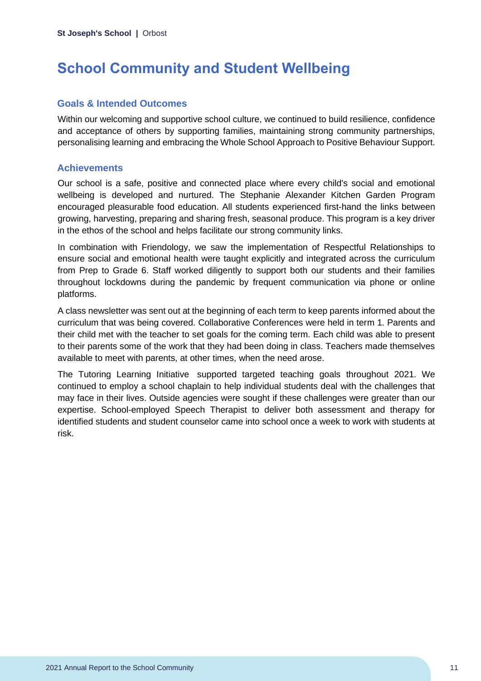# <span id="page-11-0"></span>**School Community and Student Wellbeing**

# **Goals & Intended Outcomes**

Within our welcoming and supportive school culture, we continued to build resilience, confidence and acceptance of others by supporting families, maintaining strong community partnerships, personalising learning and embracing the Whole School Approach to Positive Behaviour Support.

## **Achievements**

Our school is a safe, positive and connected place where every child's social and emotional wellbeing is developed and nurtured. The Stephanie Alexander Kitchen Garden Program encouraged pleasurable food education. All students experienced first-hand the links between growing, harvesting, preparing and sharing fresh, seasonal produce. This program is a key driver in the ethos of the school and helps facilitate our strong community links.

In combination with Friendology, we saw the implementation of Respectful Relationships to ensure social and emotional health were taught explicitly and integrated across the curriculum from Prep to Grade 6. Staff worked diligently to support both our students and their families throughout lockdowns during the pandemic by frequent communication via phone or online platforms.

A class newsletter was sent out at the beginning of each term to keep parents informed about the curriculum that was being covered. Collaborative Conferences were held in term 1. Parents and their child met with the teacher to set goals for the coming term. Each child was able to present to their parents some of the work that they had been doing in class. Teachers made themselves available to meet with parents, at other times, when the need arose.

The Tutoring Learning Initiative supported targeted teaching goals throughout 2021. We continued to employ a school chaplain to help individual students deal with the challenges that may face in their lives. Outside agencies were sought if these challenges were greater than our expertise. School-employed Speech Therapist to deliver both assessment and therapy for identified students and student counselor came into school once a week to work with students at risk.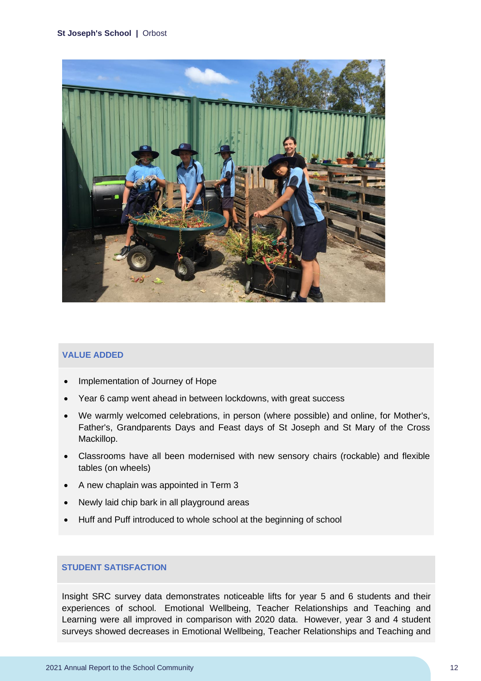#### **St Joseph's School |** Orbost



#### **VALUE ADDED**

- Implementation of Journey of Hope
- Year 6 camp went ahead in between lockdowns, with great success
- We warmly welcomed celebrations, in person (where possible) and online, for Mother's, Father's, Grandparents Days and Feast days of St Joseph and St Mary of the Cross Mackillop.
- Classrooms have all been modernised with new sensory chairs (rockable) and flexible tables (on wheels)
- A new chaplain was appointed in Term 3
- Newly laid chip bark in all playground areas
- Huff and Puff introduced to whole school at the beginning of school

#### **STUDENT SATISFACTION**

Insight SRC survey data demonstrates noticeable lifts for year 5 and 6 students and their experiences of school. Emotional Wellbeing, Teacher Relationships and Teaching and Learning were all improved in comparison with 2020 data. However, year 3 and 4 student surveys showed decreases in Emotional Wellbeing, Teacher Relationships and Teaching and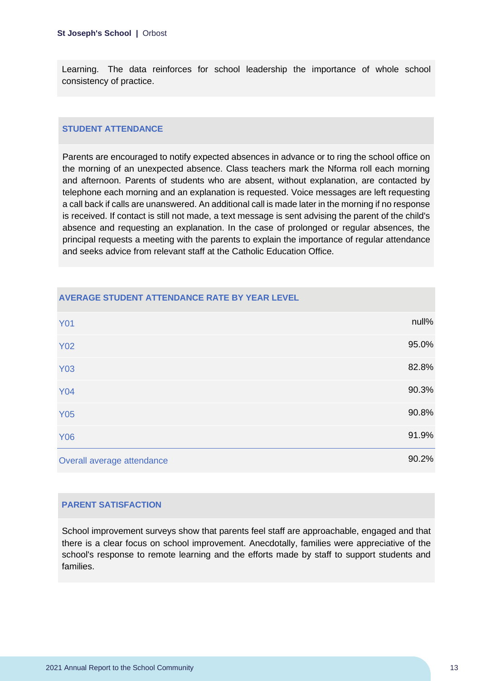Learning. The data reinforces for school leadership the importance of whole school consistency of practice.

#### **STUDENT ATTENDANCE**

Parents are encouraged to notify expected absences in advance or to ring the school office on the morning of an unexpected absence. Class teachers mark the Nforma roll each morning and afternoon. Parents of students who are absent, without explanation, are contacted by telephone each morning and an explanation is requested. Voice messages are left requesting a call back if calls are unanswered. An additional call is made later in the morning if no response is received. If contact is still not made, a text message is sent advising the parent of the child's absence and requesting an explanation. In the case of prolonged or regular absences, the principal requests a meeting with the parents to explain the importance of regular attendance and seeks advice from relevant staff at the Catholic Education Office.

| <b>Y01</b>                 | null% |
|----------------------------|-------|
| <b>Y02</b>                 | 95.0% |
| <b>Y03</b>                 | 82.8% |
| <b>Y04</b>                 | 90.3% |
| <b>Y05</b>                 | 90.8% |
| <b>Y06</b>                 | 91.9% |
| Overall average attendance | 90.2% |

#### **AVERAGE STUDENT ATTENDANCE RATE BY YEAR LEVEL**

#### **PARENT SATISFACTION**

School improvement surveys show that parents feel staff are approachable, engaged and that there is a clear focus on school improvement. Anecdotally, families were appreciative of the school's response to remote learning and the efforts made by staff to support students and families.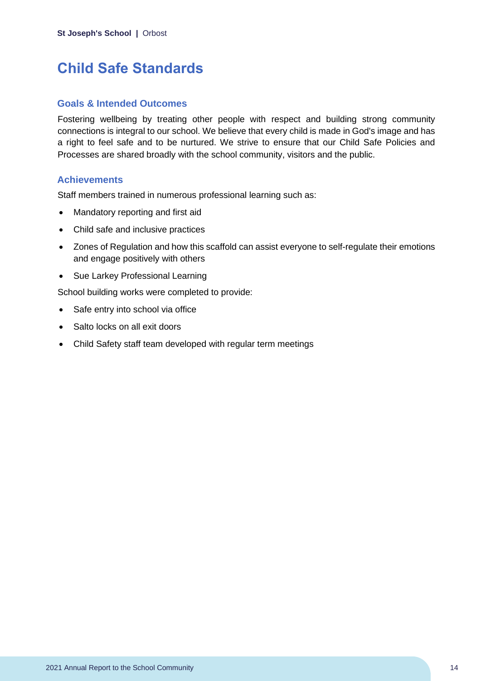# <span id="page-14-0"></span>**Child Safe Standards**

## **Goals & Intended Outcomes**

Fostering wellbeing by treating other people with respect and building strong community connections is integral to our school. We believe that every child is made in God's image and has a right to feel safe and to be nurtured. We strive to ensure that our Child Safe Policies and Processes are shared broadly with the school community, visitors and the public.

## **Achievements**

Staff members trained in numerous professional learning such as:

- Mandatory reporting and first aid
- Child safe and inclusive practices
- Zones of Regulation and how this scaffold can assist everyone to self-regulate their emotions and engage positively with others
- Sue Larkey Professional Learning

School building works were completed to provide:

- Safe entry into school via office
- Salto locks on all exit doors
- Child Safety staff team developed with regular term meetings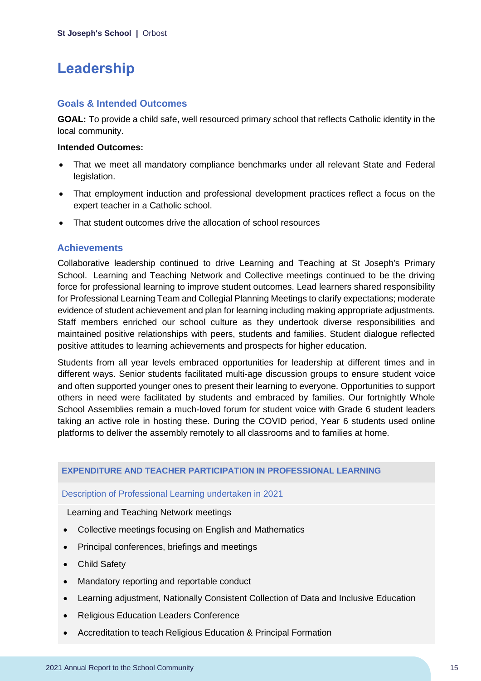# <span id="page-15-0"></span>**Leadership**

### **Goals & Intended Outcomes**

**GOAL:** To provide a child safe, well resourced primary school that reflects Catholic identity in the local community.

### **Intended Outcomes:**

- That we meet all mandatory compliance benchmarks under all relevant State and Federal legislation.
- That employment induction and professional development practices reflect a focus on the expert teacher in a Catholic school.
- That student outcomes drive the allocation of school resources

# **Achievements**

Collaborative leadership continued to drive Learning and Teaching at St Joseph's Primary School. Learning and Teaching Network and Collective meetings continued to be the driving force for professional learning to improve student outcomes. Lead learners shared responsibility for Professional Learning Team and Collegial Planning Meetings to clarify expectations; moderate evidence of student achievement and plan for learning including making appropriate adjustments. Staff members enriched our school culture as they undertook diverse responsibilities and maintained positive relationships with peers, students and families. Student dialogue reflected positive attitudes to learning achievements and prospects for higher education.

Students from all year levels embraced opportunities for leadership at different times and in different ways. Senior students facilitated multi-age discussion groups to ensure student voice and often supported younger ones to present their learning to everyone. Opportunities to support others in need were facilitated by students and embraced by families. Our fortnightly Whole School Assemblies remain a much-loved forum for student voice with Grade 6 student leaders taking an active role in hosting these. During the COVID period, Year 6 students used online platforms to deliver the assembly remotely to all classrooms and to families at home.

### **EXPENDITURE AND TEACHER PARTICIPATION IN PROFESSIONAL LEARNING**

Description of Professional Learning undertaken in 2021

Learning and Teaching Network meetings

- Collective meetings focusing on English and Mathematics
- Principal conferences, briefings and meetings
- Child Safety
- Mandatory reporting and reportable conduct
- Learning adjustment, Nationally Consistent Collection of Data and Inclusive Education
- Religious Education Leaders Conference
- Accreditation to teach Religious Education & Principal Formation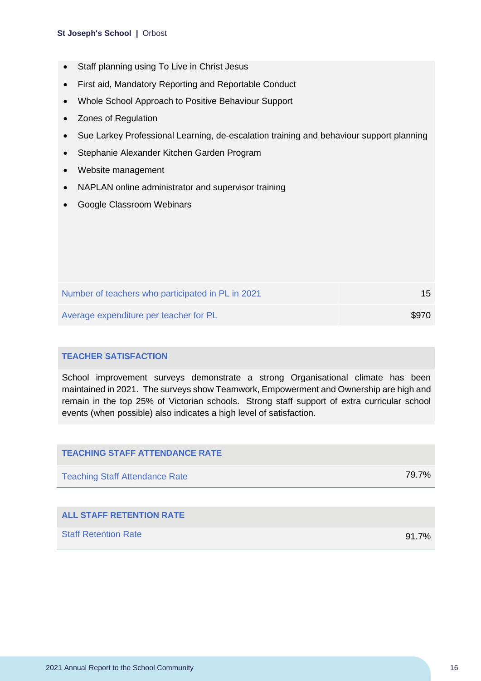#### **St Joseph's School |** Orbost

- Staff planning using To Live in Christ Jesus
- First aid, Mandatory Reporting and Reportable Conduct
- Whole School Approach to Positive Behaviour Support
- Zones of Regulation
- Sue Larkey Professional Learning, de-escalation training and behaviour support planning
- Stephanie Alexander Kitchen Garden Program
- Website management
- NAPLAN online administrator and supervisor training
- Google Classroom Webinars

| Number of teachers who participated in PL in 2021 | 15 <sup>1</sup> |
|---------------------------------------------------|-----------------|
| Average expenditure per teacher for PL            | \$970           |

#### **TEACHER SATISFACTION**

School improvement surveys demonstrate a strong Organisational climate has been maintained in 2021. The surveys show Teamwork, Empowerment and Ownership are high and remain in the top 25% of Victorian schools. Strong staff support of extra curricular school events (when possible) also indicates a high level of satisfaction.

| <b>TEACHING STAFF ATTENDANCE RATE</b> |          |
|---------------------------------------|----------|
| <b>Teaching Staff Attendance Rate</b> | 79.7%    |
|                                       |          |
| <b>ALL STAFF RETENTION RATE</b>       |          |
| <b>Staff Retention Rate</b>           | $91.7\%$ |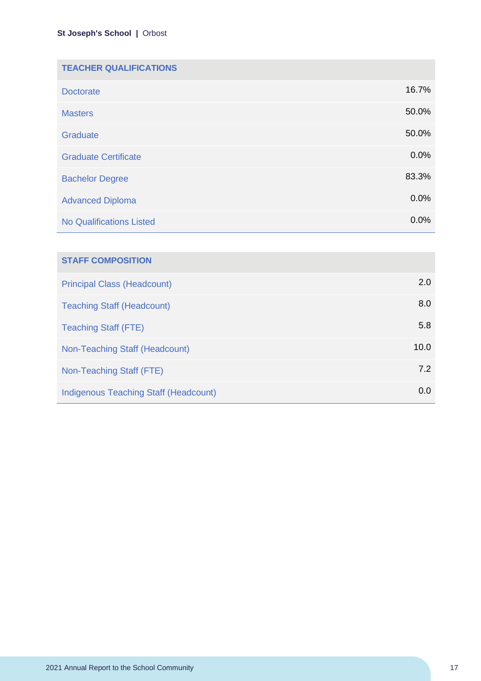| <b>TEACHER QUALIFICATIONS</b>   |       |
|---------------------------------|-------|
| <b>Doctorate</b>                | 16.7% |
| <b>Masters</b>                  | 50.0% |
| Graduate                        | 50.0% |
| <b>Graduate Certificate</b>     | 0.0%  |
| <b>Bachelor Degree</b>          | 83.3% |
| <b>Advanced Diploma</b>         | 0.0%  |
| <b>No Qualifications Listed</b> | 0.0%  |

| <b>STAFF COMPOSITION</b>                     |      |
|----------------------------------------------|------|
| <b>Principal Class (Headcount)</b>           | 2.0  |
| <b>Teaching Staff (Headcount)</b>            | 8.0  |
| <b>Teaching Staff (FTE)</b>                  | 5.8  |
| Non-Teaching Staff (Headcount)               | 10.0 |
| Non-Teaching Staff (FTE)                     | 7.2  |
| <b>Indigenous Teaching Staff (Headcount)</b> | 0.0  |